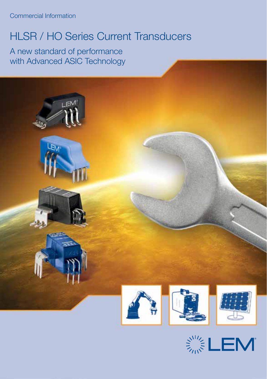Commercial Information

# HLSR / HO Series Current Transducers

A new standard of performance with Advanced ASIC Technology

∟ EN







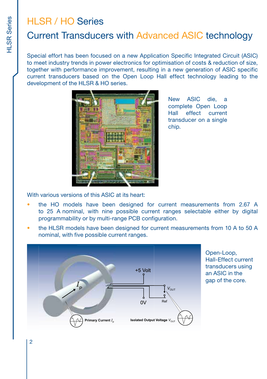# HI SR / HO Series

# Current Transducers with Advanced ASIC technology

Special effort has been focused on a new Application Specific Integrated Circuit (ASIC) to meet industry trends in power electronics for optimisation of costs & reduction of size, together with performance improvement, resulting in a new generation of ASIC specific current transducers based on the Open Loop Hall effect technology leading to the development of the HLSR & HO series.



New ASIC die, a complete Open Loop Hall effect current transducer on a single chip.

With various versions of this ASIC at its heart:

- the HO models have been designed for current measurements from 2.67 A to 25 A nominal, with nine possible current ranges selectable either by digital programmability or by multi-range PCB configuration.
- the HLSR models have been designed for current measurements from 10 A to 50 A nominal, with five possible current ranges.



Open-Loop, Hall-Effect current transducers using an ASIC in the gap of the core.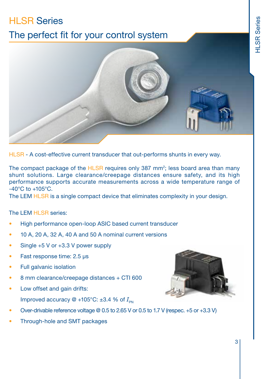# **HLSR Series** The perfect fit for your control system



HLSR - A cost-effective current transducer that out-performs shunts in every way.

The compact package of the HLSR requires only 387 mm<sup>2</sup>; less board area than many shunt solutions. Large clearance/creepage distances ensure safety, and its high performance supports accurate measurements across a wide temperature range of  $-40^{\circ}$ C to  $+105^{\circ}$ C.

The LEM HLSR is a single compact device that eliminates complexity in your design.

The LEM HLSR series:

- High performance open-loop ASIC based current transducer
- 10 A, 20 A, 32 A, 40 A and 50 A nominal current versions
- Single +5 V or +3.3 V power supply
- Fast response time: 2.5 µs
- Full galvanic isolation
- 8 mm clearance/creepage distances + CTI 600
- Low offset and gain drifts:

Improved accuracy  $\omega$  +105°C: ±3.4 % of  $I_{\text{DM}}$ 



• Through-hole and SMT packages

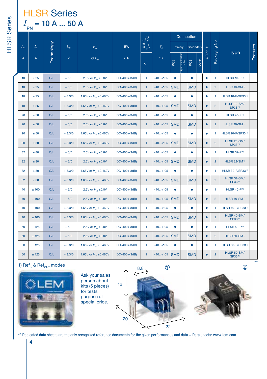# **HLSR Series** *I* PN = 10 A ... 50 A

|                  |             |            |              | $X \otimes I_{pq}$<br>$T_A = 25^{\circ}$ C |               |              |                   |            | Connection                 |            |       |                         |                |                                          |          |
|------------------|-------------|------------|--------------|--------------------------------------------|---------------|--------------|-------------------|------------|----------------------------|------------|-------|-------------------------|----------------|------------------------------------------|----------|
| $I_{\text{PN}}$  | $I_{\rm p}$ |            | $U_{\rm c}$  | $V_{\text{out}}$                           | <b>BW</b>     |              | $T_A$             | Primary    |                            | Secondary  |       | $\frac{1}{\alpha}$      |                |                                          |          |
| А                | A           | Technology | $\mathsf{V}$ | $@I_{\rho_N}$                              | kHz           | %            | $^{\circ}{\rm C}$ | PCB        | Aperture, busbar,<br>other | PCB        | Other | $\overline{\mathbf{g}}$ | Packaging No   | <b>Type</b>                              | Features |
| 10 <sub>1</sub>  | ± 25        | O/L        | $+5/0$       | 2.5V or $V_{\text{ref}}$ ±0.8V             | DC-400 (-3dB) | 1            | $-40+105$         | $\bullet$  |                            | ٠          |       | $\bullet$               | 1              | HLSR 10-P <sup>1)</sup>                  |          |
| 10 <sup>10</sup> | ± 25        | O/L        | $+5/0$       | 2.5V or $V_{rot} \pm 0.8V$                 | DC-400 (-3dB) | 1            | $-40+105$         | <b>SMD</b> |                            | <b>SMD</b> |       | $\bullet$               | $\overline{2}$ | <b>HLSR 10-SM 1)</b>                     |          |
| 10               | ± 25        | O/L        | $+3.3/0$     | 1.65V or $V_{\text{ref}}$ ±0.460V          | DC-400 (-3dB) | 1            | $-40+105$         | ٠          |                            | ٠          |       | $\bullet$               | 1              | HLSR 10-P/SP33 <sup>1)</sup>             |          |
| 10 <sup>10</sup> | ± 25        | O/L        | $+3.3/0$     | 1.65V or $V_{\text{ref}}$ ±0.460V          | DC-400 (-3dB) | $\mathbf{1}$ | $-40+105$         | <b>SMD</b> |                            | <b>SMD</b> |       | $\bullet$               | $\overline{2}$ | <b>HLSR 10-SM/</b><br>SP33 <sup>1)</sup> |          |
| 20               | ± 50        | O/L        | $+5/0$       | 2.5V or $V_{\text{tot}} \pm 0.8V$          | DC-400 (-3dB) | 1            | $-40+105$         | $\bullet$  |                            | ۰          |       | ۰                       | 1.             | HLSR 20-P <sup>1)</sup>                  |          |
| 20               | $\pm$ 50    | O/L        | $+5/0$       | 2.5V or $V_{rot} \pm 0.8V$                 | DC-400 (-3dB) | 1            | $-40+105$         | <b>SMD</b> |                            | <b>SMD</b> |       | $\bullet$               | $\overline{2}$ | <b>HLSR 20-SM 1)</b>                     |          |
| 20               | ± 50        | O/L        | $+3.3/0$     | 1.65V or $V_{\text{ref}}$ ±0.460V          | DC-400 (-3dB) | 1            | $-40+105$         | $\bullet$  |                            | ۰          |       | ٠                       | 1.             | HLSR 20-P/SP33 <sup>1)</sup>             |          |
| 20               | ± 50        | O/L        | $+3.3/0$     | 1.65V or $V_{\text{ref}} \pm 0.460 V$      | DC-400 (-3dB) | $\mathbf{1}$ | $-40+105$         | <b>SMD</b> |                            | <b>SMD</b> |       | $\bullet$               | $\overline{2}$ | <b>HLSR 20-SM/</b><br>SP33 <sup>1)</sup> |          |
| 32               | $\pm$ 80    | O/L        | $+5/0$       | 2.5V or $V_{\text{rot}} \pm 0.8V$          | DC-400 (-3dB) | 1            | $-40+105$         | $\bullet$  |                            | $\bullet$  |       | ۰                       | 1.             | <b>HLSR 32-P<sup>1</sup></b>             |          |
| 32               | ± 80        | O/L        | $+5/0$       | 2.5V or $V_{\text{rot}} \pm 0.8V$          | DC-400 (-3dB) | $\mathbf{1}$ | $-40+105$         | <b>SMD</b> |                            | <b>SMD</b> |       | $\bullet$               | $\overline{2}$ | HLSR 32-SM $1$                           |          |
| 32               | ± 80        | O/L        | $+3.3/0$     | 1.65V or $V_{\text{ref}}$ ±0.460V          | DC-400 (-3dB) | 1            | $-40+105$         | $\bullet$  |                            | $\bullet$  |       | ۰                       | 1              | HLSR 32-P/SP33 <sup>1)</sup>             |          |
| 32               | $\pm$ 80    | O/L        | $+3.3/0$     | 1.65V or $V_{\text{ref}}$ ±0.460V          | DC-400 (-3dB) | $\mathbf{1}$ | $-40+105$         | <b>SMD</b> |                            | <b>SMD</b> |       | $\bullet$               | $\overline{2}$ | <b>HLSR 32-SM/</b><br>SP33 <sup>1)</sup> |          |
| 40               | ±100        | O/L        | $+5/0$       | 2.5V or $V_{rot} \pm 0.8V$                 | DC-400 (-3dB) | 1            | $-40+105$         | $\bullet$  |                            | $\bullet$  |       | ٠                       | 1.             | <b>HLSR 40-P<sup>1</sup></b>             |          |
| 40               | ± 100       | O/L        | $+5/0$       | 2.5V or $V_{rot} \pm 0.8V$                 | DC-400 (-3dB) | $\mathbf{1}$ | $-40+105$         | <b>SMD</b> |                            | <b>SMD</b> |       | $\bullet$               | $\overline{2}$ | <b>HLSR 40-SM<sup>1)</sup></b>           |          |
| 40               | ± 100       | O/L        | $+3.3/0$     | 1.65V or $V_{\text{ref}}$ ±0.460V          | DC-400 (-3dB) | 1            | $-40+105$         | $\bullet$  |                            | $\bullet$  |       | ٠                       | 1.             | HLSR 40-P/SP33 <sup>1)</sup>             |          |
| 40               | ± 100       | O/L        | $+3.3/0$     | 1.65V or $V_{\text{ref}}$ ±0.460V          | DC-400 (-3dB) | 1            | $-40+105$         | <b>SMD</b> |                            | <b>SMD</b> |       | $\bullet$               | $\overline{2}$ | <b>HLSR 40-SM/</b><br>SP33 <sup>1)</sup> |          |
| 50               | ± 125       | O/L        | $+5/0$       | 2.5V or $V_{\text{tot}} \pm 0.8V$          | DC-400 (-3dB) | 1.           | $-40+105$         | $\bullet$  |                            | ٠          |       | ٠                       | 1.             | <b>HLSR 50-P<sup>1</sup></b>             |          |
| 50               | ± 125       | O/L        | $+5/0$       | 2.5V or $V_{\text{net}} \pm 0.8V$          | DC-400 (-3dB) | 1            | $-40+105$         | <b>SMD</b> |                            | <b>SMD</b> |       | $\bullet$               | $\overline{2}$ | <b>HLSR 50-SM<sup>1</sup></b>            |          |
| 50               | ± 125       | O/L        | $+3.3/0$     | 1.65V or $V_{\text{ref}}$ ±0.460V          | DC-400 (-3dB) | 1.           | $-40+105$         | $\bullet$  |                            | $\bullet$  |       | ٠                       | 1              | HLSR 50-P/SP331                          |          |
| 50               | ± 125       | O/L        | $+3.3/0$     | 1.65V or V <sub>ref</sub> ±0.460V          | DC-400 (-3dB) | 1            | $-40+105$ SMD     |            |                            | <b>SMD</b> |       | $\bullet$               | $\overline{2}$ | <b>HLSR 50-SM/</b><br>SP33 <sup>1)</sup> |          |



Ask your sales person about kits (5 pieces) for tests purpose at special price.





\*\* Dedicated data sheets are the only recognized reference documents for the given performances and data - Data sheets: www.lem.com

**HLSR** Series HLSR Series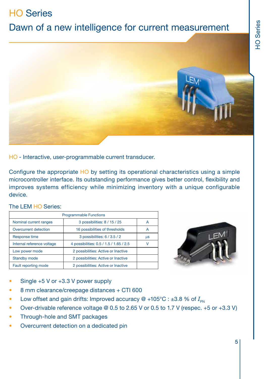# HO Series

# Dawn of a new intelligence for current measurement



HO - Interactive, user-programmable current transducer.

Configure the appropriate HO by setting its operational characteristics using a simple microcontroller interface. Its outstanding performance gives better control, flexibility and improves systems efficiency while minimizing inventory with a unique configurable device.

#### The LEM HO Series:

| <b>Programmable Functions</b> |                                         |    |  |  |  |  |  |  |  |  |
|-------------------------------|-----------------------------------------|----|--|--|--|--|--|--|--|--|
| Nominal current ranges        | 3 possibilities: 8 / 15 / 25            |    |  |  |  |  |  |  |  |  |
| Overcurrent detection         | 16 possibilities of thresholds          | А  |  |  |  |  |  |  |  |  |
| Response time                 | 3 possibilities: 6 / 3.5 / 2            | μS |  |  |  |  |  |  |  |  |
| Internal reference voltage    | 4 possibilities: 0.5 / 1.5 / 1.65 / 2.5 | ν  |  |  |  |  |  |  |  |  |
| Low power mode                | 2 possibilities: Active or Inactive     |    |  |  |  |  |  |  |  |  |
| <b>Standby mode</b>           | 2 possibilities: Active or Inactive     |    |  |  |  |  |  |  |  |  |
| Fault reporting mode          | 2 possibilities: Active or Inactive     |    |  |  |  |  |  |  |  |  |



- Single  $+5$  V or  $+3.3$  V power supply
- 8 mm clearance/creepage distances + CTI 600
- Low offset and gain drifts: Improved accuracy  $@ +105°C : ±3.8 %$  of  $I_{PN}$
- Over-drivable reference voltage @ 0.5 to 2.65 V or 0.5 to 1.7 V (respec. +5 or +3.3 V)
- Through-hole and SMT packages
- Overcurrent detection on a dedicated pin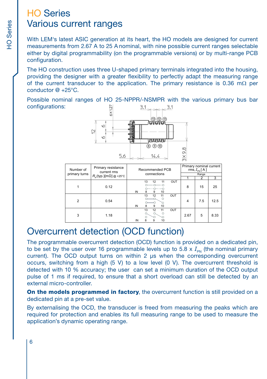# HO Series Various current ranges

With LEM's latest ASIC generation at its heart, the HO models are designed for current measurements from 2.67 A to 25 A nominal, with nine possible current ranges selectable either by digital programmability (on the programmable versions) or by multi-range PCB configuration.

The HO construction uses three U-shaped primary terminals integrated into the housing, providing the designer with a greater flexibility to perfectly adapt the measuring range of the current transducer to the application. The primary resistance is 0.36 m $\Omega$  per conductor @ +25°C.

Possible nominal ranges of HO 25-NPPR/-NSMPR with the various primary bus bar configurations:  $3.1$   $\sim$   $\sim$   $2.1$ 



| Number of      | Primary resistance<br>current rms       | Recommended PCB                                                         | Primary nominal current<br>rms, $I_{\text{PN}}[A]$ |     |      |  |  |
|----------------|-----------------------------------------|-------------------------------------------------------------------------|----------------------------------------------------|-----|------|--|--|
| primary turns  | $R_{\rm p}$ (typ.)[m $\Omega$ ] @ +25°C | connections                                                             |                                                    |     |      |  |  |
|                |                                         |                                                                         |                                                    | 2   | 3    |  |  |
|                | 0.12                                    | OUT<br>13<br>12<br>11<br>IN<br>10<br>8<br>9                             | 8                                                  | 15  | 25   |  |  |
| $\overline{2}$ | 0.54                                    | 13<br>OUT<br>12<br>11<br>$\Omega$<br>10<br>IN<br>8<br>9                 | $\overline{4}$                                     | 7.5 | 12.5 |  |  |
| 3              | 1.18                                    | 13<br>OUT<br>12<br>11<br>$\circ$<br>O.<br>$\circ$<br>8<br>IN<br>10<br>9 | 2.67                                               | 5   | 8.33 |  |  |

# Overcurrent detection (OCD function)

The programmable overcurrent detection (OCD) function is provided on a dedicated pin, to be set by the user over 16 programmable levels up to 5.8  $\times$   $I_{\text{pN}}$  (the nominal primary current). The OCD output turns on within 2 us when the corresponding overcurrent occurs, switching from a high  $(5 V)$  to a low level  $(0 V)$ . The overcurrent threshold is detected with 10 % accuracy; the user can set a minimum duration of the OCD output pulse of 1 ms if required, to ensure that a short overload can still be detected by an external micro-controller.

On the models programmed in factory, the overcurrent function is still provided on a dedicated pin at a pre-set value.

By externalising the OCD, the transducer is freed from measuring the peaks which are required for protection and enables its full measuring range to be used to measure the application's dynamic operating range.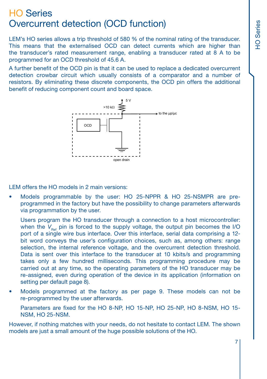# HO Series Overcurrent detection (OCD function)

LEM's HO series allows a trip threshold of 580 % of the nominal rating of the transducer. This means that the externalised OCD can detect currents which are higher than the transducer's rated measurement range, enabling a transducer rated at 8 A to be programmed for an OCD threshold of 45.6 A.

A further benefit of the OCD pin is that it can be used to replace a dedicated overcurrent detection crowbar circuit which usually consists of a comparator and a number of resistors. By eliminating these discrete components, the OCD pin offers the additional benefit of reducing component count and board space.



LEM offers the HO models in 2 main versions:

• Models programmable by the user: HO 25-NPPR & HO 25-NSMPR are preprogrammed in the factory but have the possibility to change parameters afterwards via programmation by the user.

Users program the HO transducer through a connection to a host microcontroller: when the  $V_{\text{Rg}}$  pin is forced to the supply voltage, the output pin becomes the I/O port of a single wire bus interface. Over this interface, serial data comprising a 12 bit word conveys the user's configuration choices, such as, among others: range selection, the internal reference voltage, and the overcurrent detection threshold. Data is sent over this interface to the transducer at 10 kbits/s and programming takes only a few hundred milliseconds. This programming procedure may be carried out at any time, so the operating parameters of the HO transducer may be re-assigned, even during operation of the device in its application (information on setting per default page 8).

• Models programmed at the factory as per page 9. These models can not be re-programmed by the user afterwards.

Parameters are fixed for the HO 8-NP, HO 15-NP, HO 25-NP, HO 8-NSM, HO 15- NSM, HO 25-NSM.

However, if nothing matches with your needs, do not hesitate to contact LEM. The shown models are just a small amount of the huge possible solutions of the HO.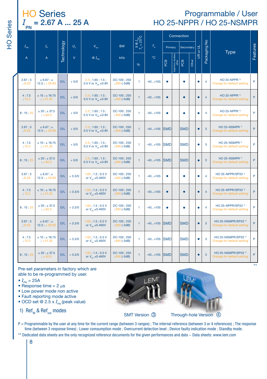# = 2.67 A ... 25 A HO 25-NPPR / HO 25-NSMPR Programmable / User

| <b>HO Series</b>                |  |  |
|---------------------------------|--|--|
| $I = 2.67$ A  25 A<br><b>PN</b> |  |  |

HO Series

**HO** Series

|                  |                                  |                   |              |                                                             |                               | $\frac{1}{9}$<br>= 25°C |               |            | Connection                      |            |       |                 |                |                                                              |          |  |  |  |  |  |  |  |  |  |  |  |  |
|------------------|----------------------------------|-------------------|--------------|-------------------------------------------------------------|-------------------------------|-------------------------|---------------|------------|---------------------------------|------------|-------|-----------------|----------------|--------------------------------------------------------------|----------|--|--|--|--|--|--|--|--|--|--|--|--|
| $I_{\sf PN}$     | $I_{\scriptscriptstyle\rm p}$    | <b>Technology</b> | $U_{\rm c}$  | $V_{\text{out}}$                                            | <b>BW</b>                     | $X = 2$                 | $T_{\rm A}$   | Primary    |                                 | Secondary  |       | <b>UR or UL</b> | $\frac{1}{2}$  | Type                                                         | Features |  |  |  |  |  |  |  |  |  |  |  |  |
| A                | A                                |                   | $\mathsf{V}$ | $QI_{\rm DM}$                                               | kHz                           | %                       | $^{\circ}$ C  | BOB        | Aperture, busba<br>other<br>BOB |            | Other |                 | Packaging      |                                                              |          |  |  |  |  |  |  |  |  |  |  |  |  |
| 2.67:5<br>:8.33  | ± 6.67 : ±<br>$12.5 : \pm 20.83$ | O/L               | $+5/0$       | $2.5$ ; 1.65; 1.5;<br>0.5 V or $V_{\text{net}} \pm 0.8 V$   | DC-100; 250<br>$;600(-3dB)$   | $\mathbf{1}$            | $-40+105$     | ٠          |                                 | ٠          |       | $\bullet$       | 4              | HO 25-NPPR 1)<br>Orange for default setting                  | P        |  |  |  |  |  |  |  |  |  |  |  |  |
| 4:7.5<br>: 12.5  | ± 10; ± 18.75<br>: 431.25        | O/L               | $+5/0$       | $2.5$ ; 1.65; 1.5;<br>0.5 V or $V_{\text{int}} \pm 0.8 V$   | $DC-100:250$<br>; 600 (-3dB)  | $\mathbf{1}$            | $-40+105$     | $\bullet$  |                                 | $\bullet$  |       | $\bullet$       | $\overline{4}$ | HO 25-NPPR 1)<br>Orange for default setting                  | P        |  |  |  |  |  |  |  |  |  |  |  |  |
| 8:15:25          | ± 20; ± 37.5<br>: 62.5           | O/L               | $+5/0$       | $2.5$ ; 1.65; 1.5;<br>0.5 V or $V_{m}$ ±0.8V                | DC-100; 250<br>$:600(-3dB)$   | $\mathbf{1}$            | $-40+105$     | ٠          |                                 | ٠          |       | $\bullet$       | 4              | HO 25-NPPR 1<br>Orange for default setting                   | P        |  |  |  |  |  |  |  |  |  |  |  |  |
| 2.67:5<br>: 8.33 | ± 6.67 ; ±<br>$12.5 : \pm 20.83$ | O/L               | $+5/0$       | $2.5$ ; 1.65; 1.5;<br>0.5 V or $V_{\text{net}} \pm 0.8 V$   | DC-100; 250<br>$;600(-3dB)$   | $\mathbf{1}$            | $-40+105$ SMD |            |                                 | <b>SMD</b> |       | $\bullet$       | 3              | HO 25-NSMPR 1)<br>Orange for default setting                 | P        |  |  |  |  |  |  |  |  |  |  |  |  |
| 4:7.5<br>: 12.5  | ± 10; ± 18.75<br>: 4.31.25       | O/L               | $+5/0$       | $2.5$ ; 1.65; 1.5;<br>0.5 V or $V_{m}$ ±0.8V                | DC-100; 250<br>$;600(-3dB)$   | 1                       | $-40+105$     | <b>SMD</b> |                                 | SMD        |       | $\bullet$       | 3              | HO 25-NSMPR 1)<br>Orange for default setting                 | P        |  |  |  |  |  |  |  |  |  |  |  |  |
| 8; 15; 25        | ± 20; ± 37.5<br>: 62.5           | O/L               | $+5/0$       | $2.5$ ; 1.65; 1.5;<br>0.5 V or $V_{\text{net}} \pm 0.8 V$   | $DC-100:250$<br>$;600(-3dB)$  | $\mathbf{1}$            | $-40+105$     | <b>SMD</b> |                                 | <b>SMD</b> |       | $\bullet$       | 3              | HO 25-NSMPR <sup>1)</sup><br>Orange for default setting      | P        |  |  |  |  |  |  |  |  |  |  |  |  |
| 2.67:5<br>:8.33  | ± 6.67 : ±<br>$12.5 : + 20.83$   | O/L               | $+3.3/0$     | $1.65$ ; $1.5$ ; $0.5V$<br>or $V_{\text{tot}} \pm 0.460V$   | DC-100; 250<br>$;600(-3dB)$   | 1                       | $-40+105$     | $\bullet$  |                                 | ۰          |       | $\bullet$       | $\overline{4}$ | HO 25-NPPR/SP33 <sup>1)</sup><br>Orange for default setting  | P        |  |  |  |  |  |  |  |  |  |  |  |  |
| 4:7.5<br>: 12.5  | ± 10; ± 18.75<br>: 4.31.25       | O/L               | $+3.3/0$     | $1.65$ ; $1.5$ ; $0.5$ V<br>or $V_{\text{tot}} \pm 0.460 V$ | DC-100; 250<br>$:600(-3dB)$   | $\mathbf{1}$            | $-40+105$     | $\bullet$  |                                 | $\bullet$  |       | $\bullet$       | $\overline{4}$ | HO 25-NPPR/SP33 <sup>1)</sup><br>Orange for default setting  | P        |  |  |  |  |  |  |  |  |  |  |  |  |
| 8:15:25          | ± 20; ± 37.5<br>: 62.5           | O/L               | $+3.3/0$     | $1.65$ ; $1.5$ ; $0.5V$<br>or $V_{\text{net}} \pm 0.460V$   | DC-100; 250<br>$:600(-3dB)$   | 1                       | $-40+105$     | ٠          |                                 | ٠          |       | $\bullet$       | $\overline{4}$ | HO 25-NPPR/SP33 <sup>1)</sup><br>Orange for default setting  | P        |  |  |  |  |  |  |  |  |  |  |  |  |
| 2.67:5<br>: 8.33 | ± 6.67 : ±<br>$12.5 : \pm 20.83$ | O/L               | $+3.3/0$     | $1.65$ ; $1.5$ ; $0.5V$<br>or $V_{\text{net}} \pm 0.460V$   | DC-100; 250<br>$;600(-3dB)$   | $\mathbf{1}$            | $-40+105$     | <b>SMD</b> |                                 | <b>SMD</b> |       | $\bullet$       | 3              | HO 25-NSMPR/SP33 <sup>1)</sup><br>Orange for default setting | P        |  |  |  |  |  |  |  |  |  |  |  |  |
| 4:7.5<br>; 12.5  | ± 10; ± 18.75<br>; ± 31.25       | O/L               | $+3.3/0$     | $1.65$ ; $1.5$ ; $0.5V$<br>or $V_{\text{tot}} \pm 0.460V$   | $DC-100:250$<br>$;600 (-3dB)$ | $\mathbf{1}$            | $-40+105$ SMD |            |                                 | <b>SMD</b> |       | $\bullet$       | 3              | HO 25-NSMPR/SP33 <sup>1)</sup><br>Orange for default setting | P        |  |  |  |  |  |  |  |  |  |  |  |  |
| 8:15:25          | ± 20; ± 37.5<br>: 62.5           | O/L               | $+3.3/0$     | $1.65$ ; $1.5$ ; $0.5$ V<br>or $V_{\text{tot}} \pm 0.460 V$ | $DC-100:250$<br>$:600(-3dB)$  | $\mathbf{1}$            | $-40+105$     | <b>SMD</b> |                                 | <b>SMD</b> |       | $\bullet$       | 3              | HO 25-NSMPR/SP33 <sup>1)</sup><br>Orange for default setting | P        |  |  |  |  |  |  |  |  |  |  |  |  |

Pre-set parameters in factory which are able to be re-programmed by user.

- $\bullet$   $I_{PN} = 25A$
- Response time  $= 2 \mu s$
- Low power mode non active
- Fault reporting mode active
- OCD set  $@$  2.5 x  $I_{PN}$  (peak value)
- 1) Ref<sub> $n$ </sub> & Ref<sub>out</sub> modes





\*\*

SMT Version 3 Through-hole Version 4

P = Programmable by the user at any time for the current range (between 3 ranges) ; The internal reference (between 3 or 4 references) ; The response time (between 3 response times) ; Lower comsumption mode ; Overcurrent detection level ; Device faulty indication mode ; Standby mode.

\*\* Dedicated data sheets are the only recognized reference documents for the given performances and data - Data sheets: www.lem.com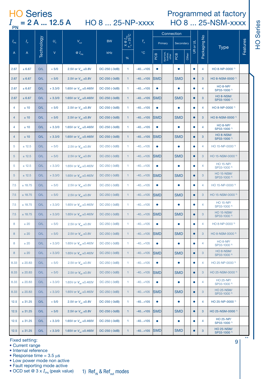# **HO Series**  $I_{\text{PN}}$  = 2 A ... 12.5 A

HO 8 ... 25-NP-xxxx

### Programmed at factory HO 8 ... 25-NSM-xxxx

HO Series

|                   |                               |            |          |                                       |               |                                                             |             |            | Connection<br>Primary<br>Secondary |            |       |           |                |                                              |          |
|-------------------|-------------------------------|------------|----------|---------------------------------------|---------------|-------------------------------------------------------------|-------------|------------|------------------------------------|------------|-------|-----------|----------------|----------------------------------------------|----------|
| $I_{\mathsf{PN}}$ | $I_{\scriptscriptstyle\rm P}$ | Technology | $U_c$    | $V_{\text{cut}}$                      | <b>BW</b>     | $\frac{X \otimes I_{\text{PN}}}{T_A = 25^{\circ} \text{C}}$ | $T_{\rm_A}$ |            |                                    |            |       | UR or UL  | Packaging No   | Type                                         | Features |
| A                 | A                             |            | V        | $QI_{\rm PN}$                         | kHz           | %                                                           | °C          | РCВ        | Aperture<br>busbar,<br>other       | BOB        | Other |           |                |                                              |          |
| 2.67              | ± 6.67                        | O/L        | $+5/0$   | 2.5V or V <sub>ref</sub> ±0.8V        | DC-250 (-3dB) | 1                                                           | $-40+105$   | $\bullet$  |                                    | $\bullet$  |       | $\bullet$ | $\overline{4}$ | HO 8-NP-0000 <sup>1)</sup>                   |          |
| 2.67              | ± 6.67                        | O/L        | $+5/0$   | 2.5V or $V_{\text{ref}} \pm 0.8V$     | DC-250 (-3dB) | $\mathbf{1}$                                                | -40+105     | <b>SMD</b> |                                    | <b>SMD</b> |       | $\bullet$ | 3              | HO 8-NSM-0000 <sup>1)</sup>                  |          |
| 2.67              | ± 6.67                        | O/L        | $+3.3/0$ | 1.65V or $V_{\text{ref}} \pm 0.460 V$ | DC-250 (-3dB) | $\mathbf{1}$                                                | $-40+105$   | $\bullet$  |                                    | ٠          |       | ٠         | $\overline{4}$ | <b>HO 8-NP/</b><br>SP33-1000 <sup>1)</sup>   |          |
| 2.67              | $\pm 6.67$                    | O/L        | $+3.3/0$ | 1.65V or $V_{\text{ref}}$ ±0.460V     | DC-250 (-3dB) | $\mathbf{1}$                                                | $-40+105$   | <b>SMD</b> |                                    | <b>SMD</b> |       | $\bullet$ | 3              | HO 8-NSM/<br>SP33-1000 <sup>1)</sup>         |          |
| $\overline{4}$    | ± 10                          | O/L        | $+5/0$   | 2.5V or $V_{\text{ref}} \pm 0.8V$     | DC-250 (-3dB) | 1                                                           | $-40+105$   | ٠          |                                    | ۰          |       | $\bullet$ | $\overline{4}$ | HO 8-NP-0000 <sup>1)</sup>                   |          |
| $\overline{4}$    | ± 10                          | O/L        | $+5/0$   | 2.5V or $V_{\text{ref}}$ ±0.8V        | DC-250 (-3dB) | $\mathbf{1}$                                                | $-40+105$   | <b>SMD</b> |                                    | <b>SMD</b> |       | $\bullet$ | 3              | HO 8-NSM-0000 <sup>1)</sup>                  |          |
| 4                 | ±10                           | O/L        | $+3.3/0$ | 1.65V or $V_{\text{ref}}$ ±0.460V     | DC-250 (-3dB) | 1                                                           | $-40+105$   | ٠          |                                    | ۰          |       | ۰         | 4              | <b>HO 8-NP/</b><br>SP33-1000 <sup>1)</sup>   |          |
| $\overline{4}$    | $\pm$ 10                      | O/L        | $+3.3/0$ | 1.65V or $V_{\text{ref}} \pm 0.460 V$ | DC-250 (-3dB) | 1                                                           | $-40+105$   | <b>SMD</b> |                                    | <b>SMD</b> |       | $\bullet$ | 3              | HO 8-NSM/<br>SP33-1000 <sup>1)</sup>         |          |
| 5                 | ± 12.5                        | O/L        | $+5/0$   | 2.5V or $V_{\text{ref}}$ ±0.8V        | DC-250 (-3dB) | 1                                                           | $-40+105$   | ٠          |                                    | ٠          |       | ٠         | $\overline{4}$ | HO 15-NP-0000 <sup>1)</sup>                  |          |
| 5                 | ± 12.5                        | O/L        | $+5/0$   | 2.5V or $V_{\text{ref}}$ ±0.8V        | DC-250 (-3dB) | $\mathbf{1}$                                                | $-40+105$   | <b>SMD</b> |                                    | <b>SMD</b> |       | $\bullet$ | 3              | HO 15-NSM-0000 1)                            |          |
| 5                 | ± 12.5                        | O/L        | $+3.3/0$ | 1.65V or $V_{\text{ref}} \pm 0.460 V$ | DC-250 (-3dB) | 1                                                           | $-40+105$   | ٠          |                                    | ٠          |       | ٠         | $\overline{4}$ | HO 15-NP/<br>SP33-1000 <sup>1)</sup>         |          |
| $\sqrt{5}$        | ± 12.5                        | O/L        | $+3.3/0$ | 1.65V or $V_{\text{net}}$ ±0.460V     | DC-250 (-3dB) | $\mathbf{1}$                                                | $-40+105$   | <b>SMD</b> |                                    | <b>SMD</b> |       | $\bullet$ | 3              | <b>HO 15-NSM/</b><br>SP33-1000 <sup>1)</sup> |          |
| 7.5               | $+18.75$                      | O/I        | $+5/0$   | 2.5V or $V_{\text{ref}}$ ±0.8V        | DC-250 (-3dB) | 1                                                           | $-40+105$   | ٠          |                                    | ٠          |       | ٠         | $\overline{4}$ | HO 15-NP-0000 <sup>1</sup>                   |          |
| 7.5               | ± 18.75                       | O/L        | $+5/0$   | 2.5V or $V_{\text{ref}} \pm 0.8V$     | DC-250 (-3dB) | $\mathbf{1}$                                                | $-40+105$   | <b>SMD</b> |                                    | <b>SMD</b> |       | $\bullet$ | 3              | HO 15-NSM-0000 1)                            |          |
| 7.5               | $+18.75$                      | O/L        | $+3.3/0$ | 1.65V or $V_{\text{ref}}$ ±0.460V     | DC-250 (-3dB) | $\mathbf{1}$                                                | $-40+105$   | ٠          |                                    | ٠          |       | ٠         | $\overline{4}$ | <b>HO 15-NP/</b><br>SP33-1000 <sup>1)</sup>  |          |
| 7.5               | ± 18.75                       | O/L        | $+3.3/0$ | 1.65V or $V_{\text{net}} \pm 0.460 V$ | DC-250 (-3dB) | $\mathbf{1}$                                                | $-40+105$   | <b>SMD</b> |                                    | <b>SMD</b> |       | $\bullet$ | 3              | <b>HO 15-NSM/</b><br>SP33-1000 <sup>1)</sup> |          |
| 8                 | $\pm$ 20                      | O/L        | $+5/0$   | 2.5V or $V_{\text{net}} \pm 0.8V$     | DC-250 (-3dB) | $\mathbf{1}$                                                | $-40+105$   | ٠          |                                    | ٠          |       | ٠         | $\overline{4}$ | HO 8-NP-0000 1)                              |          |
| 8                 | ±20                           | O/L        | $+5/0$   | 2.5V or $V_{\text{ref}} \pm 0.8V$     | DC-250 (-3dB) | $\mathbf{1}$                                                | $-40+105$   | <b>SMD</b> |                                    | <b>SMD</b> |       | $\bullet$ | 3              | HO 8-NSM-0000 1)                             |          |
| 8                 | ±20                           | O/L        | $+3.3/0$ | 1.65V or $V_{\text{ref}}$ ±0.460V     | DC-250 (-3dB) | $\mathbf{1}$                                                | $-40+105$   | ۰          |                                    | ٠          |       | ٠         | $\overline{4}$ | <b>HO 8-NP/</b><br>SP33-1000 <sup>1)</sup>   |          |
| 8                 | ± 20                          | O/L        | $+3.3/0$ | 1.65V or $V_{\text{net}}$ ±0.460V     | DC-250 (-3dB) | $\mathbf{1}$                                                | $-40+105$   | <b>SMD</b> |                                    | <b>SMD</b> |       | $\bullet$ | $\mathbf{3}$   | HO 8-NSM/<br>SP33-1000 <sup>1)</sup>         |          |
| 8.33              | ± 20.83                       | O/L        | $+5/0$   | 2.5V or $V_{\text{ref}}$ ±0.8V        | DC-250 (-3dB) | 1                                                           | $-40+105$   | ٠          |                                    | ۰          |       | ٠         | $\overline{4}$ | HO 25-NP-0000 <sup>1)</sup>                  |          |
| 8.33              | ± 20.83                       | O/L        | $+5/0$   | 2.5V or $V_{\text{ref}} \pm 0.8V$     | DC-250 (-3dB) | $\mathbf{1}$                                                | $-40+105$   | <b>SMD</b> |                                    | <b>SMD</b> |       | $\bullet$ | 3              | HO 25-NSM-0000 1)                            |          |
| 8.33              | ± 20.83                       | O/L        | $+3.3/0$ | 1.65V or $V_{\text{ref}}$ ±0.460V     | DC-250 (-3dB) | $\mathbf{1}$                                                | $-40+105$   | ۰          |                                    | ٠          |       | ٠         | $\overline{4}$ | <b>HO 25-NP/</b><br>SP33-1000 <sup>1)</sup>  |          |
| 8.33              | ± 20.83                       | O/L        | $+3.3/0$ | 1.65V or $V_{\text{ref}}$ ±0.460V     | DC-250 (-3dB) | $\mathbf{1}$                                                | $-40+105$   | <b>SMD</b> |                                    | <b>SMD</b> |       | ٠         | $\mathbf{3}$   | <b>HO 25-NSM/</b><br>SP33-1000 <sup>1)</sup> |          |
| 12.5              | ± 31.25                       | O/L        | $+5/0$   | 2.5V or $V_{\text{net}} \pm 0.8V$     | DC-250 (-3dB) | 1                                                           | $-40+105$   | $\bullet$  |                                    | $\bullet$  |       | ٠         | $\overline{4}$ | HO 25-NP-0000 <sup>1)</sup>                  |          |
| 12.5              | ± 31.25                       | O/L        | $+5/0$   | 2.5V or $V_{\text{ref}}$ ±0.8V        | DC-250 (-3dB) | $\mathbf{1}$                                                | $-40+105$   | <b>SMD</b> |                                    | <b>SMD</b> |       | $\bullet$ | 3              | HO 25-NSM-0000 <sup>1)</sup>                 |          |
| 12.5              | ± 31.25                       | O/L        | $+3.3/0$ | 1.65V or $V_{\text{ref}} \pm 0.460 V$ | DC-250 (-3dB) | 1                                                           | $-40+105$   | ٠          |                                    | ٠          |       | ٠         | $\overline{4}$ | <b>HO 25-NP/</b><br>SP33-1000 <sup>1)</sup>  |          |
| 12.5              | ± 31.25                       | O/L        | $+3.3/0$ | 1.65V or $V_{\text{ref}} \pm 0.460 V$ | DC-250 (-3dB) | $\mathbf{1}$                                                | $-40+105$   | <b>SMD</b> |                                    | <b>SMD</b> |       | $\bullet$ | 3              | <b>HO 25-NSM/</b><br>SP33-1000 <sup>1)</sup> |          |

Fixed setting:

• Current range

· Internal reference

• Response time =  $3.5 \mu s$ 

• Low power mode non active

· Fault reporting mode active

• OCD set @  $3 \times I_{\text{out}}$  (peak value)

1)  $\operatorname{Ref}_{\text{in}}$  &  $\operatorname{Ref}_{\text{out}}$  modes

9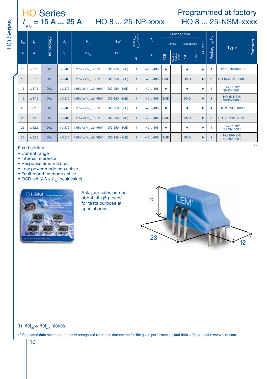# $\frac{\text{HO Series}}{I_{\text{PN}} = 15 \text{ A} \dots 25 \text{ A}}$  HO 8 ... 25-NP-xxxx

# Programmed at factory HO 8 ... 25-NSM-xxxx

|                 |             |            |              |                                       |               |                                                   |             |            | Connection                    |            |       |                |                                              |                                              |          |
|-----------------|-------------|------------|--------------|---------------------------------------|---------------|---------------------------------------------------|-------------|------------|-------------------------------|------------|-------|----------------|----------------------------------------------|----------------------------------------------|----------|
| $I_{\text{PN}}$ | $I_{\circ}$ | Technology | $U_{\rm c}$  | $V_{\text{out}}$                      | <b>BW</b>     | $\mathbf{Q}$ $I_{\text{PN}}$<br>= 25°C<br>$X_{K}$ | $T_{\rm A}$ |            | Primary                       | Secondary  |       | or UL          | $\frac{\mathsf{o}}{\mathsf{e}}$<br>Packaging | <b>Type</b>                                  | Features |
| A               | A           |            | $\mathsf{V}$ | $\otimes I_{\rm PN}$                  | kHz           | %                                                 |             | PОВ        | Aperture,<br>busbar,<br>other | PCB        | Other | $\mathfrak{s}$ |                                              |                                              |          |
| 15              | ± 37.5      | O/L        | $+5/0$       | 2.5V or $V_{\text{tot}} \pm 0.8V$     | DC-250 (-3dB) | 1                                                 | $-40+105$   | ٠          |                               | ٠          |       |                | 4                                            | HO 15-NP-0000 <sup>1)</sup>                  |          |
| 15              | ± 37.5      | O/L        | $+5/0$       | 2.5V or V <sub>rot</sub> ±0.8V        | DC-250 (-3dB) |                                                   | $-40+105$   | <b>SMD</b> |                               | <b>SMD</b> |       |                | 3                                            | HO 15-NSM-0000 <sup>1)</sup>                 |          |
| 15              | ± 37.5      | O/L        | $+3.3/0$     | 1.65V or V <sub>int</sub> ±0.460V     | DC-250 (-3dB) | 1.                                                | $-40+105$   | ۰          |                               |            |       |                | 4                                            | <b>HO 15-NP/</b><br>SP33-1000 <sup>1)</sup>  |          |
| 15              | ± 37.5      | O/L        | $+3.3/0$     | 1.65V or V <sub>ox</sub> ±0.460V      | DC-250 (-3dB) |                                                   | $-40+105$   | <b>SMD</b> |                               | <b>SMD</b> |       |                | 3                                            | <b>HO 15-NSM/</b><br>SP33-1000 <sup>1)</sup> |          |
| 25              | ± 62.5      | O/L        | $+5/0$       | 2.5V or V <sub>int</sub> ±0.8V        | DC-250 (-3dB) |                                                   | $-40+105$   | ۰          |                               | ۰          |       |                | $\overline{4}$                               | HO 25-NP-0000 <sup>1</sup>                   |          |
| 25              | ± 62.5      | O/L        | $+5/0$       | 2.5V or $V_{\text{rot}} \pm 0.8V$     | DC-250 (-3dB) |                                                   | $-40+105$   | <b>SMD</b> |                               | <b>SMD</b> |       |                | 3                                            | HO 25-NSM-0000 <sup>1)</sup>                 |          |
| 25              | ± 62.5      | O/L        | $+3.3/0$     | 1.65V or $V_{xx}$ ±0.460V             | DC-250 (-3dB) | 1.                                                | $-40+105$   | ۰          |                               | ٠          |       |                | 4                                            | <b>HO 25-NP/</b><br>SP33-1000 <sup>1)</sup>  |          |
| 25              | ± 62.5      | O/L        | $+3.3/0$     | 1.65V or $V_{\text{net}} \pm 0.460 V$ | DC-250 (-3dB) |                                                   | $-40+105$   | <b>SMD</b> |                               | <b>SMD</b> |       |                | 3                                            | <b>HO 25-NSM/</b><br>SP33-1000 <sup>1)</sup> |          |

Fixed setting:

- Current range
- · Internal reference
- Response time =  $3.5 \,\mu s$
- Low power mode non active
- · Fault reporting mode active
- OCD set @  $3 \times I_{\text{on}}$  (peak value)



Ask your sales person about kits (5 pieces) for tests purpose at special price.



#### 1) Ref<sub>IN</sub> & Ref<sub>out</sub> modes

 $10$ 

\*\* Dedicated data sheets are the only recognized reference documents for the given performances and data - Data sheets: www.lem.com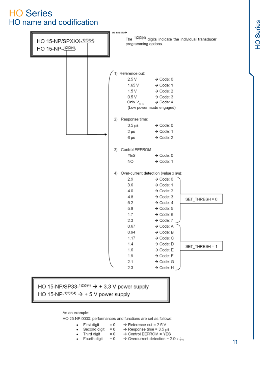## **HO Series** HO name and codification



#### HO 15-NP/SP33-1)2)3)4)  $\rightarrow$  + 3.3 V power supply HO 15-NP-1)2)3)4)  $\rightarrow$  + 5 V power supply

As an example:

 $\bullet$ 

HO 25-NP-0000: performances and functions are set as follows:

- First digit =  $0 \rightarrow$  Reference out =  $2.5 \text{ V}$
- Second digit =  $0 \rightarrow$  Response time = 3.5 µs
	- Third digit  $= 0$ 
		- → Control EEPROM = YES
- $\bullet$  Fourth digit = 0  $\rightarrow$  Overcurrent detection = 2.9 x  $l_{\text{EN}}$